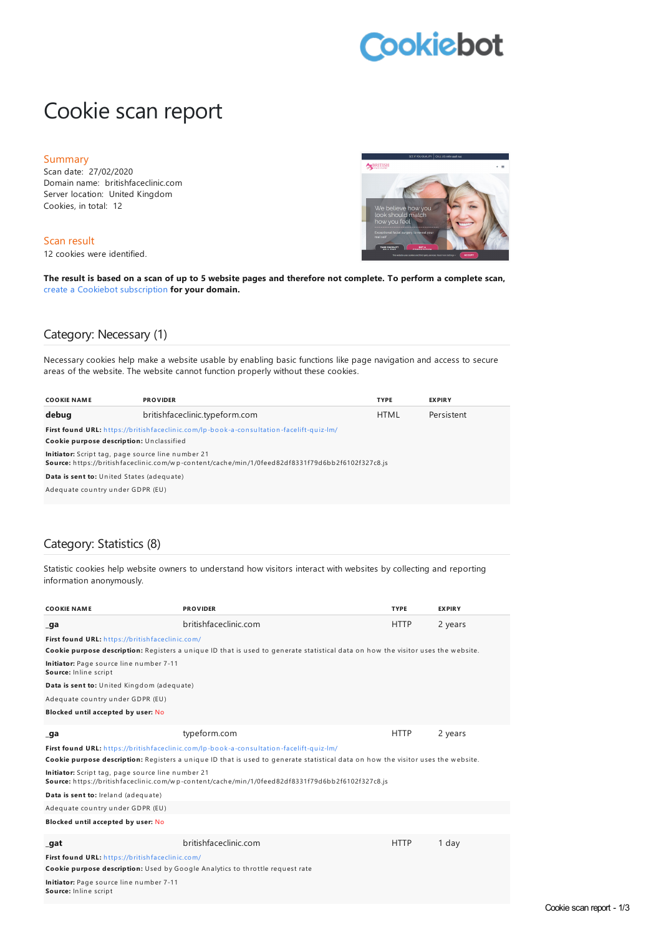# **Cookiebot**

## Cookie scan report

#### Summary

Scan date: 27/02/2020 Domain name: britishfaceclinic.com Server location: United Kingdom Cookies, in total: 12

Scan result

12 cookies were identified.



The result is based on a scan of up to 5 website pages and therefore not complete. To perform a complete scan, create a Cookiebot [subscription](https://manage.cookiebot.com/goto/signup) **for your domain.**

#### Category: Necessary (1)

Necessary cookies help make a website usable by enabling basic functions like page navigation and access to secure areas of the website. The website cannot function properly without these cookies.

| <b>COOKIE NAME</b>                                | <b>PROVIDER</b>                                                                                  | <b>TYPE</b> | <b>EXPIRY</b> |
|---------------------------------------------------|--------------------------------------------------------------------------------------------------|-------------|---------------|
| debug                                             | britishfaceclinic.typeform.com                                                                   | <b>HTML</b> | Persistent    |
|                                                   | <b>First found URL:</b> https://britishfaceclinic.com/lp-book-a-consultation-facelift-quiz-lm/   |             |               |
| Cookie purpose description: Unclassified          |                                                                                                  |             |               |
| Initiator: Script tag, page source line number 21 | Source: https://britishfaceclinic.com/wp-content/cache/min/1/0feed82df8331f79d6bb2f6102f327c8.js |             |               |
| Data is sent to: United States (adequate)         |                                                                                                  |             |               |
| Adequate country under GDPR (EU)                  |                                                                                                  |             |               |

#### Category: Statistics (8)

Statistic cookies help website owners to understand how visitors interact with websites by collecting and reporting information anonymously.

| <b>COOKIE NAME</b>                                                            | <b>PROVIDER</b>                                                                                                                  | <b>TYPE</b> | <b>EXPIRY</b> |
|-------------------------------------------------------------------------------|----------------------------------------------------------------------------------------------------------------------------------|-------------|---------------|
| _ga                                                                           | britishfaceclinic.com                                                                                                            | <b>HTTP</b> | 2 years       |
| First found URL: https://britishfaceclinic.com/                               | Cookie purpose description: Registers a unique ID that is used to generate statistical data on how the visitor uses the website. |             |               |
| Initiator: Page source line number 7-11<br>Source: Inline script              |                                                                                                                                  |             |               |
| Data is sent to: United Kingdom (adequate)                                    |                                                                                                                                  |             |               |
| Adequate country under GDPR (EU)                                              |                                                                                                                                  |             |               |
| Blocked until accepted by user: No                                            |                                                                                                                                  |             |               |
| _ga                                                                           | typeform.com                                                                                                                     | <b>HTTP</b> | 2 years       |
|                                                                               | First found URL: https://britishfaceclinic.com/lp-book-a-consultation-facelift-quiz-lm/                                          |             |               |
|                                                                               | Cookie purpose description: Registers a unique ID that is used to generate statistical data on how the visitor uses the website. |             |               |
| Initiator: Script tag, page source line number 21                             | Source: https://britishfaceclinic.com/wp-content/cache/min/1/0feed82df8331f79d6bb2f6102f327c8.js                                 |             |               |
| Data is sent to: Ireland (adequate)                                           |                                                                                                                                  |             |               |
| Adequate country under GDPR (EU)                                              |                                                                                                                                  |             |               |
| Blocked until accepted by user: No                                            |                                                                                                                                  |             |               |
| _gat                                                                          | britishfaceclinic.com                                                                                                            | <b>HTTP</b> | 1 day         |
| First found URL: https://britishfaceclinic.com/                               |                                                                                                                                  |             |               |
| Cookie purpose description: Used by Google Analytics to throttle request rate |                                                                                                                                  |             |               |
| Initiator: Page source line number 7-11<br>Source: Inline script              |                                                                                                                                  |             |               |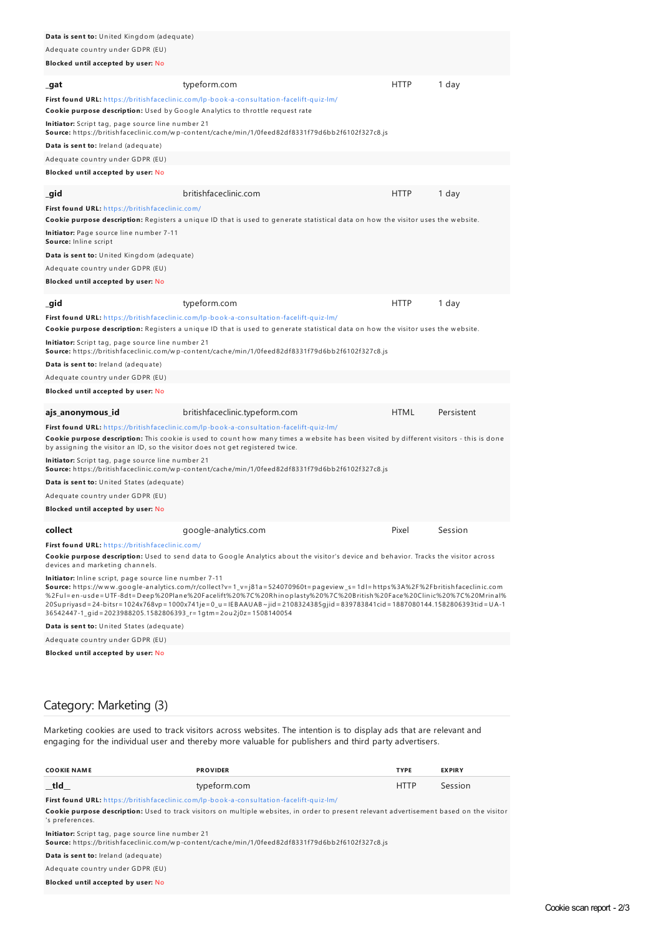| <b>Data is sent to:</b> United Kingdom (adequate)                                                                        |                                                                                                                                                                                                                                                                                                                                                                           |             |            |
|--------------------------------------------------------------------------------------------------------------------------|---------------------------------------------------------------------------------------------------------------------------------------------------------------------------------------------------------------------------------------------------------------------------------------------------------------------------------------------------------------------------|-------------|------------|
| Adequate country under GDPR (EU)                                                                                         |                                                                                                                                                                                                                                                                                                                                                                           |             |            |
| Blocked until accepted by user: No                                                                                       |                                                                                                                                                                                                                                                                                                                                                                           |             |            |
| _gat                                                                                                                     | typeform.com                                                                                                                                                                                                                                                                                                                                                              | <b>HTTP</b> | 1 day      |
|                                                                                                                          | First found URL: https://britishfaceclinic.com/lp-book-a-consultation-facelift-quiz-lm/                                                                                                                                                                                                                                                                                   |             |            |
| Cookie purpose description: Used by Google Analytics to throttle request rate                                            |                                                                                                                                                                                                                                                                                                                                                                           |             |            |
| Initiator: Script tag, page source line number 21                                                                        | Source: https://britishfaceclinic.com/wp-content/cache/min/1/0feed82df8331f79d6bb2f6102f327c8.js                                                                                                                                                                                                                                                                          |             |            |
| Data is sent to: Ireland (adequate)                                                                                      |                                                                                                                                                                                                                                                                                                                                                                           |             |            |
| Adequate country under GDPR (EU)                                                                                         |                                                                                                                                                                                                                                                                                                                                                                           |             |            |
| Blocked until accepted by user: No                                                                                       |                                                                                                                                                                                                                                                                                                                                                                           |             |            |
| _gid                                                                                                                     | britishfaceclinic.com                                                                                                                                                                                                                                                                                                                                                     | <b>HTTP</b> | 1 day      |
| First found URL: https://britishfaceclinic.com/                                                                          |                                                                                                                                                                                                                                                                                                                                                                           |             |            |
|                                                                                                                          | Cookie purpose description: Registers a unique ID that is used to generate statistical data on how the visitor uses the website.                                                                                                                                                                                                                                          |             |            |
| Initiator: Page source line number 7-11<br>Source: Inline script                                                         |                                                                                                                                                                                                                                                                                                                                                                           |             |            |
| Data is sent to: United Kingdom (adequate)                                                                               |                                                                                                                                                                                                                                                                                                                                                                           |             |            |
| Adequate country under GDPR (EU)                                                                                         |                                                                                                                                                                                                                                                                                                                                                                           |             |            |
| Blocked until accepted by user: No                                                                                       |                                                                                                                                                                                                                                                                                                                                                                           |             |            |
| _gid                                                                                                                     | typeform.com                                                                                                                                                                                                                                                                                                                                                              | <b>HTTP</b> | 1 day      |
|                                                                                                                          | First found URL: https://britishfaceclinic.com/lp-book-a-consultation-facelift-quiz-lm/                                                                                                                                                                                                                                                                                   |             |            |
| Initiator: Script tag, page source line number 21                                                                        | Cookie purpose description: Registers a unique ID that is used to generate statistical data on how the visitor uses the website.                                                                                                                                                                                                                                          |             |            |
|                                                                                                                          | Source: https://britishfaceclinic.com/wp-content/cache/min/1/0feed82df8331f79d6bb2f6102f327c8.js                                                                                                                                                                                                                                                                          |             |            |
| Data is sent to: Ireland (adequate)                                                                                      |                                                                                                                                                                                                                                                                                                                                                                           |             |            |
| Adequate country under GDPR (EU)                                                                                         |                                                                                                                                                                                                                                                                                                                                                                           |             |            |
| Blocked until accepted by user: No                                                                                       |                                                                                                                                                                                                                                                                                                                                                                           |             |            |
| ajs_anonymous_id                                                                                                         | britishfaceclinic.typeform.com                                                                                                                                                                                                                                                                                                                                            | <b>HTML</b> | Persistent |
|                                                                                                                          | First found URL: https://britishfaceclinic.com/lp-book-a-consultation-facelift-quiz-lm/                                                                                                                                                                                                                                                                                   |             |            |
| by assigning the visitor an ID, so the visitor does not get registered twice.                                            | Cookie purpose description: This cookie is used to count how many times a website has been visited by different visitors - this is done                                                                                                                                                                                                                                   |             |            |
| Initiator: Script tag, page source line number 21                                                                        | Source: https://britishfaceclinic.com/wp-content/cache/min/1/0feed82df8331f79d6bb2f6102f327c8.js                                                                                                                                                                                                                                                                          |             |            |
| <b>Data is sent to:</b> United States (adequate)                                                                         |                                                                                                                                                                                                                                                                                                                                                                           |             |            |
| Adequate country under GDPR (EU)                                                                                         |                                                                                                                                                                                                                                                                                                                                                                           |             |            |
| Blocked until accepted by user: No                                                                                       |                                                                                                                                                                                                                                                                                                                                                                           |             |            |
| collect                                                                                                                  | google-analytics.com                                                                                                                                                                                                                                                                                                                                                      | Pixel       | Session    |
| First found URL: https://britishfaceclinic.com/                                                                          |                                                                                                                                                                                                                                                                                                                                                                           |             |            |
| devices and marketing channels.                                                                                          | Cookie purpose description: Used to send data to Google Analytics about the visitor's device and behavior. Tracks the visitor across                                                                                                                                                                                                                                      |             |            |
| Initiator: Inline script, page source line number 7-11<br>36542447-1_gid=2023988205.1582806393_r=1gtm=2ou2j0z=1508140054 | Source: https://www.google-analytics.com/r/collect?v=1_v=j81a=524070960t=pageview_s=1dl=https%3A%2F%2Fbritishfaceclinic.com<br>%2Ful=en-usde=UTF-8dt=Deep%20Plane%20Facelift%20%7C%20Rhinoplasty%20%7C%20British%20Face%20Clinic%20%7C%20Mrinal%<br>20Supriyasd=24-bitsr=1024x768vp=1000x741je=0_u=IEBAAUAB~jid=2108324385gjid=839783841cid=1887080144.1582806393tid=UA-1 |             |            |
| Data is sent to: United States (adequate)                                                                                |                                                                                                                                                                                                                                                                                                                                                                           |             |            |
| Adequate country under GDPR (EU)                                                                                         |                                                                                                                                                                                                                                                                                                                                                                           |             |            |

**Blocked until accepted by user:** No

### Category: Marketing (3)

Marketing cookies are used to track visitors across websites. The intention is to display ads that are relevant and engaging for the individual user and thereby more valuable for publishers and third party advertisers.

| <b>COOKIE NAME</b>                                                                      | <b>PROVIDER</b>                                                                                                                                 | <b>TYPE</b> | <b>EXPIRY</b> |
|-----------------------------------------------------------------------------------------|-------------------------------------------------------------------------------------------------------------------------------------------------|-------------|---------------|
| tld                                                                                     | typeform.com                                                                                                                                    | <b>HTTP</b> | Session       |
| First found URL: https://britishfaceclinic.com/lp-book-a-consultation-facelift-quiz-lm/ |                                                                                                                                                 |             |               |
| 's preferences.                                                                         | <b>Cookie purpose description:</b> Used to track visitors on multiple websites, in order to present relevant advertisement based on the visitor |             |               |
| Initiator: Script tag, page source line number 21                                       | Source: https://britishfaceclinic.com/wp-content/cache/min/1/0feed82df8331f79d6bb2f6102f327c8.js                                                |             |               |
| Data is sent to: Ireland (adequate)                                                     |                                                                                                                                                 |             |               |
| Adequate country under GDPR (EU)                                                        |                                                                                                                                                 |             |               |
| Blocked until accepted by user: No                                                      |                                                                                                                                                 |             |               |